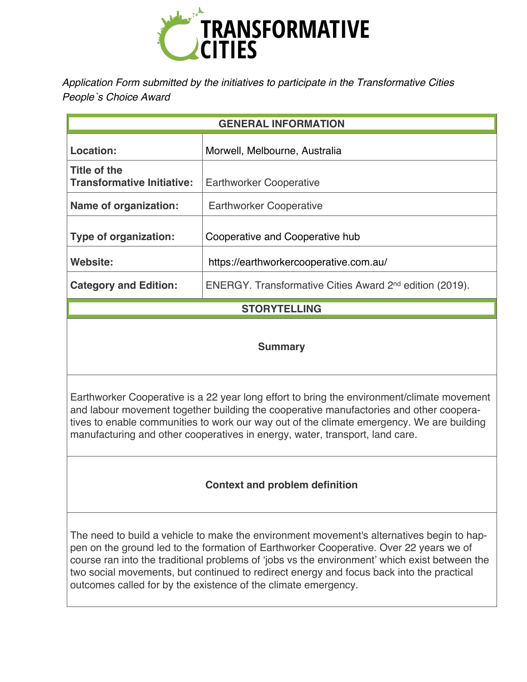

*Application Form submitted by the initiatives to participate in the Transformative Cities People`s Choice Award* 

| <b>GENERAL INFORMATION</b>                        |                                                                     |
|---------------------------------------------------|---------------------------------------------------------------------|
| Location:                                         | Morwell, Melbourne, Australia                                       |
| Title of the<br><b>Transformative Initiative:</b> | <b>Earthworker Cooperative</b>                                      |
| Name of organization:                             | <b>Earthworker Cooperative</b>                                      |
| <b>Type of organization:</b>                      | Cooperative and Cooperative hub                                     |
| Website:                                          | https://earthworkercooperative.com.au/                              |
| <b>Category and Edition:</b>                      | ENERGY. Transformative Cities Award 2 <sup>nd</sup> edition (2019). |
| <b>STORYTELLING</b>                               |                                                                     |

### **Summary**

Earthworker Cooperative is a 22 year long effort to bring the environment/climate movement and labour movement together building the cooperative manufactories and other cooperatives to enable communities to work our way out of the climate emergency. We are building manufacturing and other cooperatives in energy, water, transport, land care.

# **Context and problem definition**

The need to build a vehicle to make the environment movement's alternatives begin to happen on the ground led to the formation of Earthworker Cooperative. Over 22 years we of course ran into the traditional problems of 'jobs vs the environment' which exist between the two social movements, but continued to redirect energy and focus back into the practical outcomes called for by the existence of the climate emergency.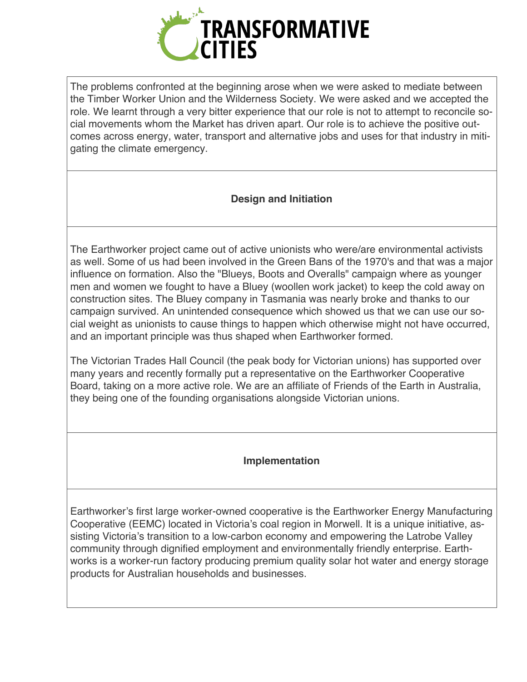

The problems confronted at the beginning arose when we were asked to mediate between the Timber Worker Union and the Wilderness Society. We were asked and we accepted the role. We learnt through a very bitter experience that our role is not to attempt to reconcile social movements whom the Market has driven apart. Our role is to achieve the positive outcomes across energy, water, transport and alternative jobs and uses for that industry in mitigating the climate emergency.

## **Design and Initiation**

The Earthworker project came out of active unionists who were/are environmental activists as well. Some of us had been involved in the Green Bans of the 1970's and that was a major influence on formation. Also the "Blueys, Boots and Overalls" campaign where as younger men and women we fought to have a Bluey (woollen work jacket) to keep the cold away on construction sites. The Bluey company in Tasmania was nearly broke and thanks to our campaign survived. An unintended consequence which showed us that we can use our social weight as unionists to cause things to happen which otherwise might not have occurred, and an important principle was thus shaped when Earthworker formed.

The Victorian Trades Hall Council (the peak body for Victorian unions) has supported over many years and recently formally put a representative on the Earthworker Cooperative Board, taking on a more active role. We are an affiliate of Friends of the Earth in Australia, they being one of the founding organisations alongside Victorian unions.

### **Implementation**

Earthworker's first large worker-owned cooperative is the Earthworker Energy Manufacturing Cooperative (EEMC) located in Victoria's coal region in Morwell. It is a unique initiative, assisting Victoria's transition to a low-carbon economy and empowering the Latrobe Valley community through dignified employment and environmentally friendly enterprise. Earthworks is a worker-run factory producing premium quality solar hot water and energy storage products for Australian households and businesses.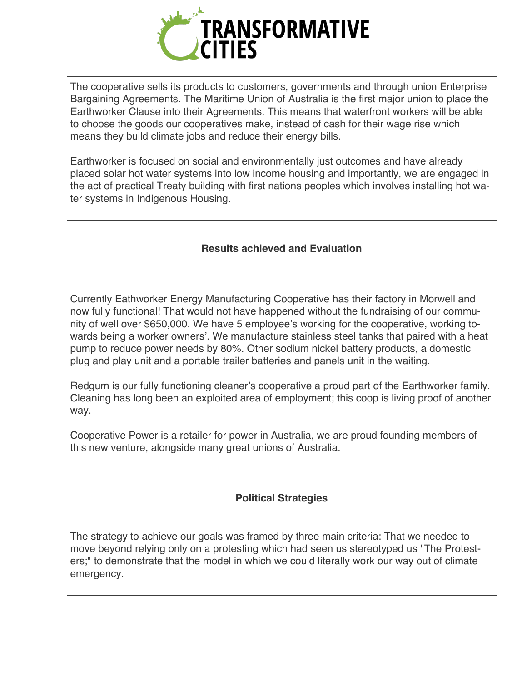

The cooperative sells its products to customers, governments and through union Enterprise Bargaining Agreements. The Maritime Union of Australia is the first major union to place the Earthworker Clause into their Agreements. This means that waterfront workers will be able to choose the goods our cooperatives make, instead of cash for their wage rise which means they build climate jobs and reduce their energy bills.

Earthworker is focused on social and environmentally just outcomes and have already placed solar hot water systems into low income housing and importantly, we are engaged in the act of practical Treaty building with first nations peoples which involves installing hot water systems in Indigenous Housing.

## **Results achieved and Evaluation**

Currently Eathworker Energy Manufacturing Cooperative has their factory in Morwell and now fully functional! That would not have happened without the fundraising of our community of well over \$650,000. We have 5 employee's working for the cooperative, working towards being a worker owners'. We manufacture stainless steel tanks that paired with a heat pump to reduce power needs by 80%. Other sodium nickel battery products, a domestic plug and play unit and a portable trailer batteries and panels unit in the waiting.

Redgum is our fully functioning cleaner's cooperative a proud part of the Earthworker family. Cleaning has long been an exploited area of employment; this coop is living proof of another way.

Cooperative Power is a retailer for power in Australia, we are proud founding members of this new venture, alongside many great unions of Australia.

# **Political Strategies**

The strategy to achieve our goals was framed by three main criteria: That we needed to move beyond relying only on a protesting which had seen us stereotyped us "The Protesters;" to demonstrate that the model in which we could literally work our way out of climate emergency.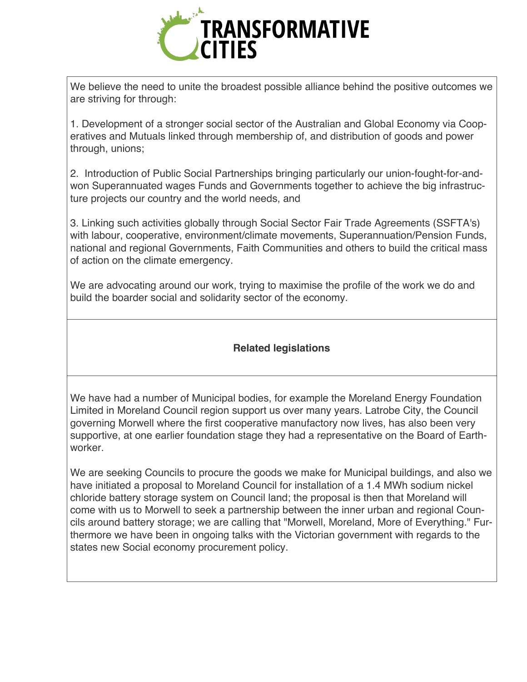

We believe the need to unite the broadest possible alliance behind the positive outcomes we are striving for through:

1. Development of a stronger social sector of the Australian and Global Economy via Cooperatives and Mutuals linked through membership of, and distribution of goods and power through, unions;

2. Introduction of Public Social Partnerships bringing particularly our union-fought-for-andwon Superannuated wages Funds and Governments together to achieve the big infrastructure projects our country and the world needs, and

3. Linking such activities globally through Social Sector Fair Trade Agreements (SSFTA's) with labour, cooperative, environment/climate movements, Superannuation/Pension Funds, national and regional Governments, Faith Communities and others to build the critical mass of action on the climate emergency.

We are advocating around our work, trying to maximise the profile of the work we do and build the boarder social and solidarity sector of the economy.

### **Related legislations**

We have had a number of Municipal bodies, for example the Moreland Energy Foundation Limited in Moreland Council region support us over many years. Latrobe City, the Council governing Morwell where the first cooperative manufactory now lives, has also been very supportive, at one earlier foundation stage they had a representative on the Board of Earthworker.

We are seeking Councils to procure the goods we make for Municipal buildings, and also we have initiated a proposal to Moreland Council for installation of a 1.4 MWh sodium nickel chloride battery storage system on Council land; the proposal is then that Moreland will come with us to Morwell to seek a partnership between the inner urban and regional Councils around battery storage; we are calling that "Morwell, Moreland, More of Everything." Furthermore we have been in ongoing talks with the Victorian government with regards to the states new Social economy procurement policy.